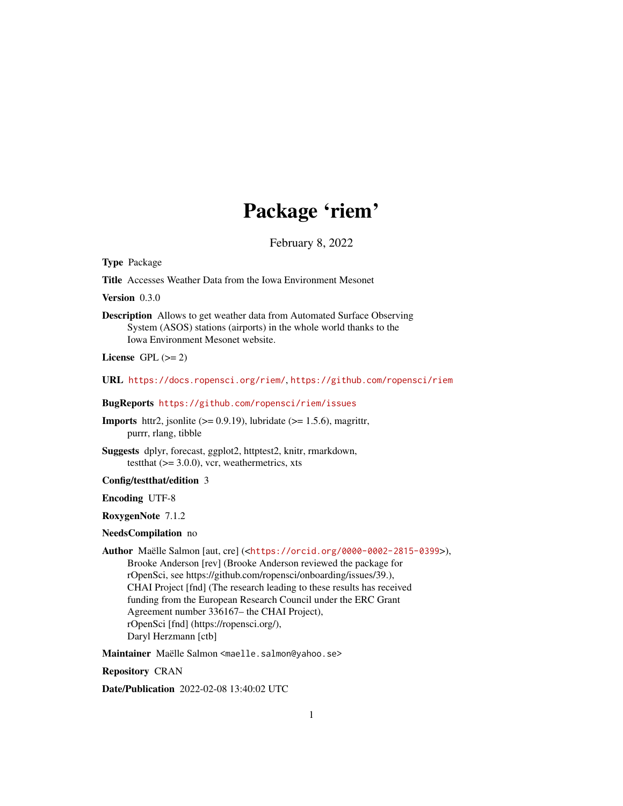## Package 'riem'

February 8, 2022

Type Package

Title Accesses Weather Data from the Iowa Environment Mesonet

Version 0.3.0

Description Allows to get weather data from Automated Surface Observing System (ASOS) stations (airports) in the whole world thanks to the Iowa Environment Mesonet website.

License GPL  $(>= 2)$ 

URL <https://docs.ropensci.org/riem/>, <https://github.com/ropensci/riem>

BugReports <https://github.com/ropensci/riem/issues>

**Imports** httr2, jsonlite  $(>= 0.9.19)$ , lubridate  $(>= 1.5.6)$ , magrittr, purrr, rlang, tibble

Suggests dplyr, forecast, ggplot2, httptest2, knitr, rmarkdown, testthat  $(>= 3.0.0)$ , vcr, weathermetrics, xts

Config/testthat/edition 3

Encoding UTF-8

RoxygenNote 7.1.2

#### NeedsCompilation no

Author Maëlle Salmon [aut, cre] (<<https://orcid.org/0000-0002-2815-0399>>), Brooke Anderson [rev] (Brooke Anderson reviewed the package for rOpenSci, see https://github.com/ropensci/onboarding/issues/39.), CHAI Project [fnd] (The research leading to these results has received funding from the European Research Council under the ERC Grant Agreement number 336167– the CHAI Project), rOpenSci [fnd] (https://ropensci.org/), Daryl Herzmann [ctb]

Maintainer Maëlle Salmon <maelle.salmon@yahoo.se>

Repository CRAN

Date/Publication 2022-02-08 13:40:02 UTC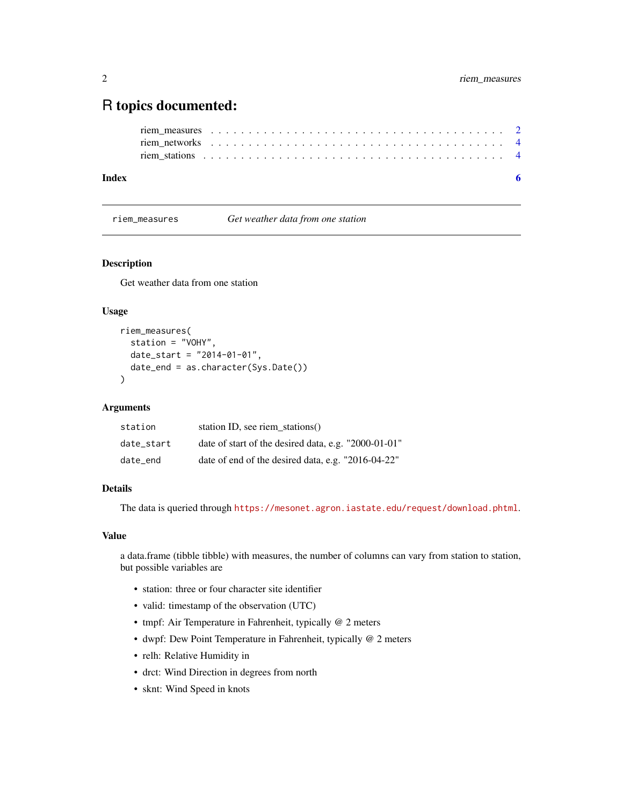### <span id="page-1-0"></span>R topics documented:

| Index |  |  |  |  |  |  |  |  |  |  |  |  |  |  |  |  |  |  |  |  |
|-------|--|--|--|--|--|--|--|--|--|--|--|--|--|--|--|--|--|--|--|--|
|       |  |  |  |  |  |  |  |  |  |  |  |  |  |  |  |  |  |  |  |  |
|       |  |  |  |  |  |  |  |  |  |  |  |  |  |  |  |  |  |  |  |  |
|       |  |  |  |  |  |  |  |  |  |  |  |  |  |  |  |  |  |  |  |  |

riem\_measures *Get weather data from one station*

#### Description

Get weather data from one station

#### Usage

```
riem_measures(
  station = "VOHY",
 date\_start = "2014-01-01",date_end = as.character(Sys.Date())
\lambda
```
#### Arguments

| station    | station ID, see riem stations $()$                   |
|------------|------------------------------------------------------|
| date start | date of start of the desired data, e.g. "2000-01-01" |
| date end   | date of end of the desired data, e.g. "2016-04-22"   |

#### Details

The data is queried through <https://mesonet.agron.iastate.edu/request/download.phtml>.

#### Value

a data.frame (tibble tibble) with measures, the number of columns can vary from station to station, but possible variables are

- station: three or four character site identifier
- valid: timestamp of the observation (UTC)
- tmpf: Air Temperature in Fahrenheit, typically @ 2 meters
- dwpf: Dew Point Temperature in Fahrenheit, typically @ 2 meters
- relh: Relative Humidity in
- drct: Wind Direction in degrees from north
- sknt: Wind Speed in knots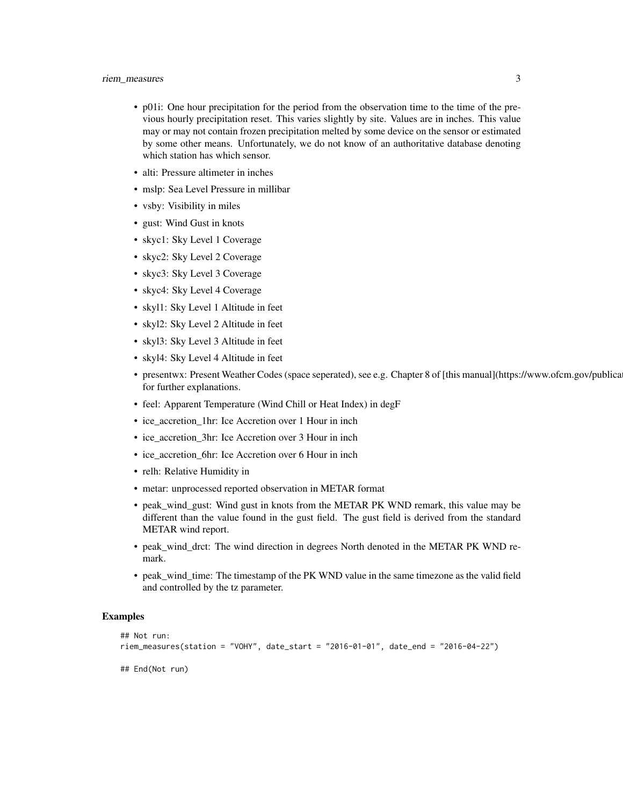- p01i: One hour precipitation for the period from the observation time to the time of the previous hourly precipitation reset. This varies slightly by site. Values are in inches. This value may or may not contain frozen precipitation melted by some device on the sensor or estimated by some other means. Unfortunately, we do not know of an authoritative database denoting which station has which sensor.
- alti: Pressure altimeter in inches
- mslp: Sea Level Pressure in millibar
- vsby: Visibility in miles
- gust: Wind Gust in knots
- skyc1: Sky Level 1 Coverage
- skyc2: Sky Level 2 Coverage
- skyc3: Sky Level 3 Coverage
- skyc4: Sky Level 4 Coverage
- skyl1: Sky Level 1 Altitude in feet
- skyl2: Sky Level 2 Altitude in feet
- skyl3: Sky Level 3 Altitude in feet
- skyl4: Sky Level 4 Altitude in feet
- presentwx: Present Weather Codes (space seperated), see e.g. Chapter 8 of [this manual](https://www.ofcm.gov/publica for further explanations.
- feel: Apparent Temperature (Wind Chill or Heat Index) in degF
- ice\_accretion\_1hr: Ice Accretion over 1 Hour in inch
- ice\_accretion\_3hr: Ice Accretion over 3 Hour in inch
- ice accretion 6hr: Ice Accretion over 6 Hour in inch
- relh: Relative Humidity in
- metar: unprocessed reported observation in METAR format
- peak wind gust: Wind gust in knots from the METAR PK WND remark, this value may be different than the value found in the gust field. The gust field is derived from the standard METAR wind report.
- peak\_wind\_drct: The wind direction in degrees North denoted in the METAR PK WND remark.
- peak\_wind\_time: The timestamp of the PK WND value in the same timezone as the valid field and controlled by the tz parameter.

#### Examples

```
## Not run:
riem_measures(station = "VOHY", date_start = "2016-01-01", date_end = "2016-04-22")
## End(Not run)
```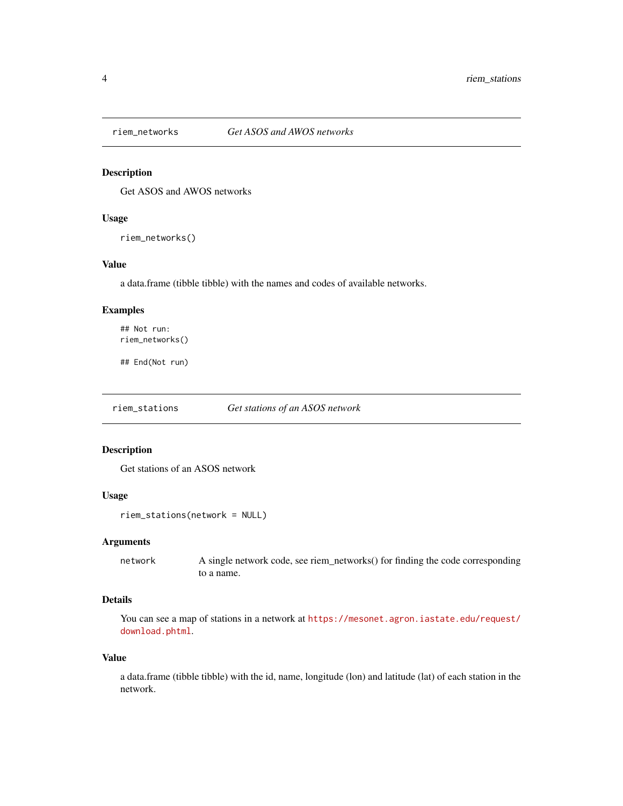<span id="page-3-0"></span>

#### Description

Get ASOS and AWOS networks

#### Usage

riem\_networks()

#### Value

a data.frame (tibble tibble) with the names and codes of available networks.

#### Examples

## Not run: riem\_networks()

## End(Not run)

riem\_stations *Get stations of an ASOS network*

#### Description

Get stations of an ASOS network

#### Usage

```
riem_stations(network = NULL)
```
#### Arguments

network A single network code, see riem\_networks() for finding the code corresponding to a name.

#### Details

You can see a map of stations in a network at [https://mesonet.agron.iastate.edu/request/](https://mesonet.agron.iastate.edu/request/download.phtml) [download.phtml](https://mesonet.agron.iastate.edu/request/download.phtml).

#### Value

a data.frame (tibble tibble) with the id, name, longitude (lon) and latitude (lat) of each station in the network.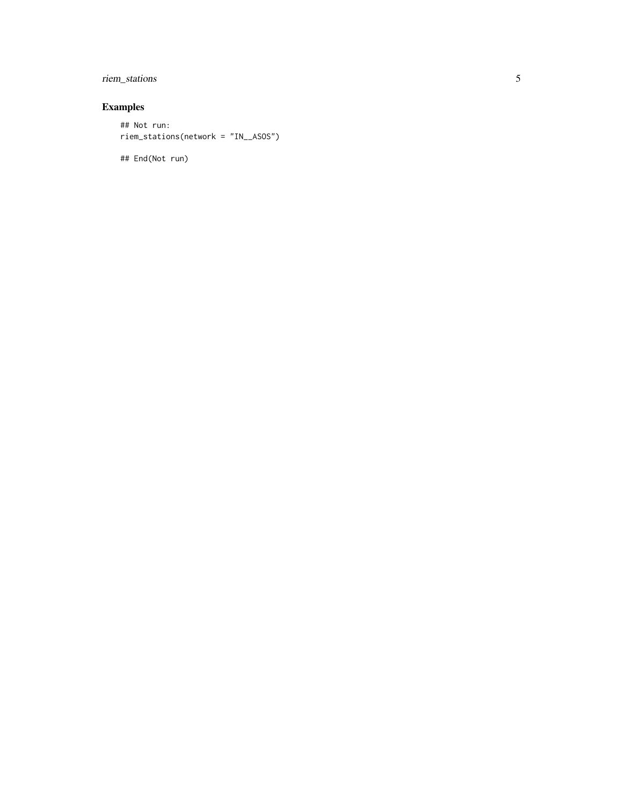#### riem\_stations

#### Examples

## Not run: riem\_stations(network = "IN\_\_ASOS")

## End(Not run)